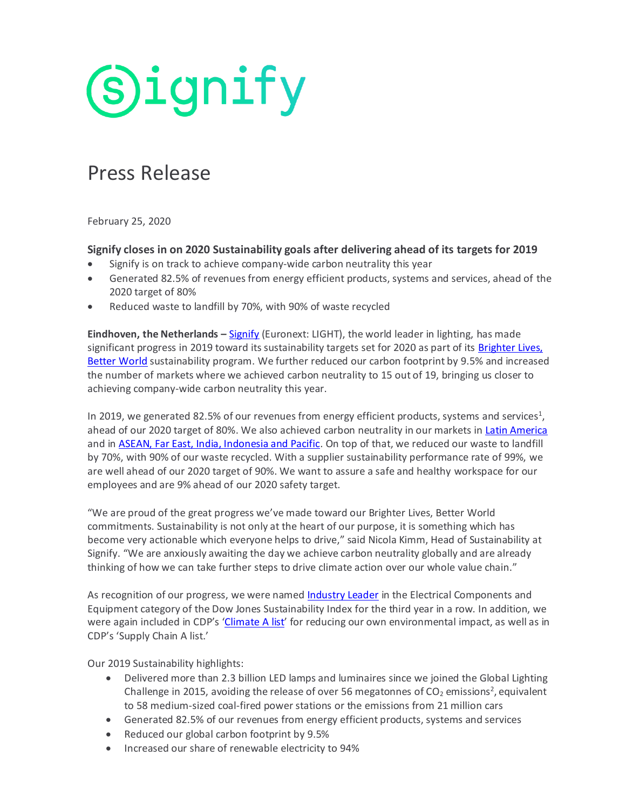# **Signify**

# Press Release

February 25, 2020

## **Signify closes in on 2020 Sustainability goals after delivering ahead of its targets for 2019**

- Signify is on track to achieve company-wide carbon neutrality this year
- Generated 82.5% of revenues from energy efficient products, systems and services, ahead of the 2020 target of 80%
- Reduced waste to landfill by 70%, with 90% of waste recycled

**Eindhoven, the Netherlands –** [Signify](http://www.signify.com/) (Euronext: LIGHT), the world leader in lighting, has made significant progress in 2019 toward its sustainability targets set for 2020 as part of its Brighter Lives, [Better World](https://www.signify.com/global/sustainability/brighter-lives-better-world) sustainability program. We further reduced our carbon footprint by 9.5% and increased the number of markets where we achieved carbon neutrality to 15 out of 19, bringing us closer to achieving company-wide carbon neutrality this year.

In 2019, we generated 82.5% of our revenues from energy efficient products, systems and services<sup>1</sup>, ahead of our 2020 target of 80%. We also achieved carbon neutrality in our markets i[n Latin America](https://www.signify.com/global/our-company/news/press-releases/2019/20190603-signify-latam-operations-achieve-carbon-neutrality) and in **ASEAN, Far East, India, Indonesia and Pacific**. On top of that, we reduced our waste to landfill by 70%, with 90% of our waste recycled. With a supplier sustainability performance rate of 99%, we are well ahead of our 2020 target of 90%. We want to assure a safe and healthy workspace for our employees and are 9% ahead of our 2020 safety target.

"We are proud of the great progress we've made toward our Brighter Lives, Better World commitments. Sustainability is not only at the heart of our purpose, it is something which has become very actionable which everyone helps to drive," said Nicola Kimm, Head of Sustainability at Signify. "We are anxiously awaiting the day we achieve carbon neutrality globally and are already thinking of how we can take further steps to drive climate action over our whole value chain."

As recognition of our progress, we were named [Industry Leader](https://www.robecosam.com/csa/csa-resources/industry-leaders.html) in the Electrical Components and Equipment category of the Dow Jones Sustainability Index for the third year in a row. In addition, we were again included in CDP's '[Climate](https://www.cdp.net/en/companies/companies-scores) A list' for reducing our own environmental impact, as well as in CDP's 'Supply Chain A list.'

Our 2019 Sustainability highlights:

- Delivered more than 2.3 billion LED lamps and luminaires since we joined the Global Lighting Challenge in 2015, avoiding the release of over 56 megatonnes of CO<sub>2</sub> emissions<sup>2</sup>, equivalent to 58 medium-sized coal-fired power stations or the emissions from 21 million cars
- Generated 82.5% of our revenues from energy efficient products, systems and services
- Reduced our global carbon footprint by 9.5%
- Increased our share of renewable electricity to 94%